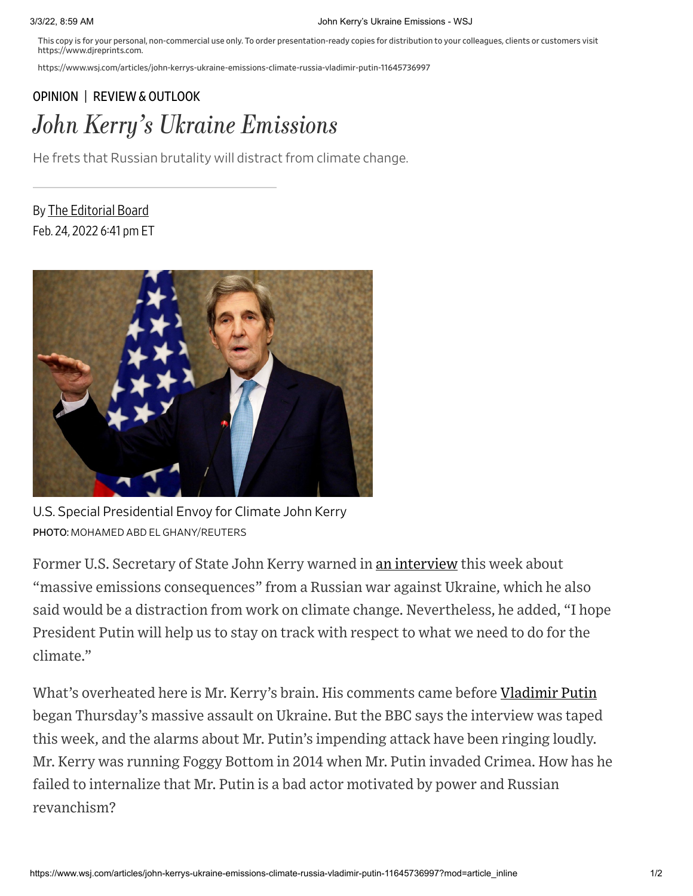This copy is for your personal, non-commercial use only. To order presentation-ready copies for distribution to your colleagues, clients or customers visit https://www.djreprints.com.

https://www.wsj.com/articles/john-kerrys-ukraine-emissions-climate-russia-vladimir-putin-11645736997

## [OPINION](https://www.wsj.com/news/opinion?mod=breadcrumb) | REVIEW & [OUTLOOK](https://www.wsj.com/news/types/review-outlook-u-s?mod=breadcrumb) John Kerry's Ukraine Emissions

He frets that Russian brutality will distract from climate change.

By The [Editorial](https://www.wsj.com/news/author/editorial-board) Board Feb. 24, 2022 6:41 pm ET



U.S. Special Presidential Envoy for Climate John Kerry PHOTO: MOHAMED ABD EL GHANY/REUTERS

Former U.S. Secretary of State John Kerry warned in an [interview](https://www.youtube.com/watch?v=vksGzhgYnEw&t=276s) this week about "massive emissions consequences" from a Russian war against Ukraine, which he also said would be a distraction from work on climate change. Nevertheless, he added, "I hope President Putin will help us to stay on track with respect to what we need to do for the climate."

What's overheated here is Mr. Kerry's brain. His comments came before [Vladimir](https://www.wsj.com/topics/person/vladimir-putin) Putin began Thursday's massive assault on Ukraine. But the BBC says the interview was taped this week, and the alarms about Mr. Putin's impending attack have been ringing loudly. Mr. Kerry was running Foggy Bottom in 2014 when Mr. Putin invaded Crimea. How has he failed to internalize that Mr. Putin is a bad actor motivated by power and Russian revanchism?